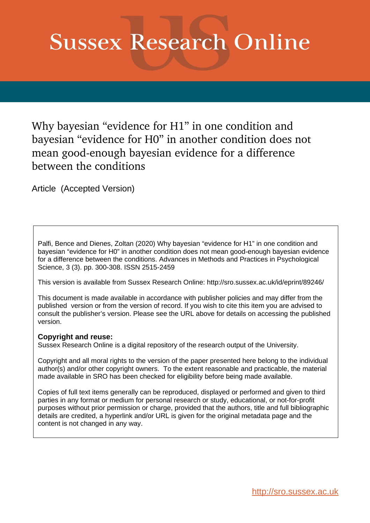# **Sussex Research Online**

Why bayesian "evidence for H1" in one condition and bayesian "evidence for H0" in another condition does not mean good-enough bayesian evidence for a difference between the conditions

Article (Accepted Version)

Palfi, Bence and Dienes, Zoltan (2020) Why bayesian "evidence for H1" in one condition and bayesian "evidence for H0" in another condition does not mean good-enough bayesian evidence for a difference between the conditions. Advances in Methods and Practices in Psychological Science, 3 (3). pp. 300-308. ISSN 2515-2459

This version is available from Sussex Research Online: http://sro.sussex.ac.uk/id/eprint/89246/

This document is made available in accordance with publisher policies and may differ from the published version or from the version of record. If you wish to cite this item you are advised to consult the publisher's version. Please see the URL above for details on accessing the published version.

# **Copyright and reuse:**

Sussex Research Online is a digital repository of the research output of the University.

Copyright and all moral rights to the version of the paper presented here belong to the individual author(s) and/or other copyright owners. To the extent reasonable and practicable, the material made available in SRO has been checked for eligibility before being made available.

Copies of full text items generally can be reproduced, displayed or performed and given to third parties in any format or medium for personal research or study, educational, or not-for-profit purposes without prior permission or charge, provided that the authors, title and full bibliographic details are credited, a hyperlink and/or URL is given for the original metadata page and the content is not changed in any way.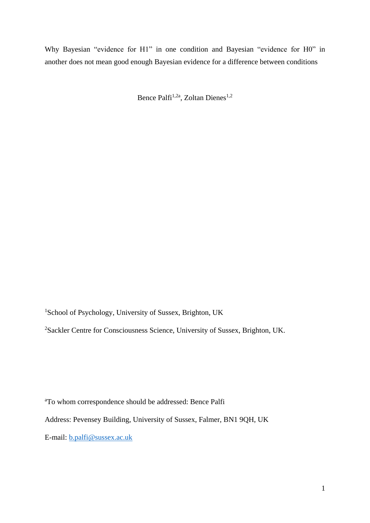Why Bayesian "evidence for H1" in one condition and Bayesian "evidence for H0" in another does not mean good enough Bayesian evidence for a difference between conditions

Bence Palfi<sup>1,2a</sup>, Zoltan Dienes<sup>1,2</sup>

<sup>1</sup>School of Psychology, University of Sussex, Brighton, UK

<sup>2</sup>Sackler Centre for Consciousness Science, University of Sussex, Brighton, UK.

<sup>a</sup>To whom correspondence should be addressed: Bence Palfi Address: Pevensey Building, University of Sussex, Falmer, BN1 9QH, UK E-mail: [b.palfi@sussex.ac.uk](mailto:b.palfi@sussex.ac.uk)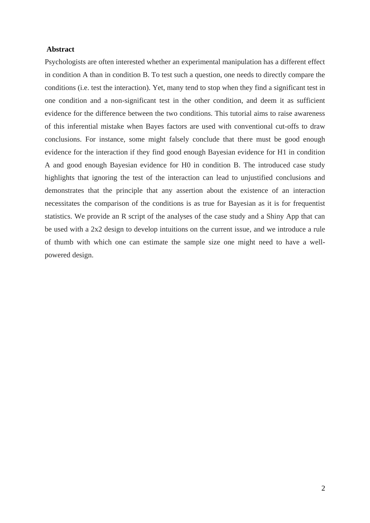### **Abstract**

Psychologists are often interested whether an experimental manipulation has a different effect in condition A than in condition B. To test such a question, one needs to directly compare the conditions (i.e. test the interaction). Yet, many tend to stop when they find a significant test in one condition and a non-significant test in the other condition, and deem it as sufficient evidence for the difference between the two conditions. This tutorial aims to raise awareness of this inferential mistake when Bayes factors are used with conventional cut-offs to draw conclusions. For instance, some might falsely conclude that there must be good enough evidence for the interaction if they find good enough Bayesian evidence for H1 in condition A and good enough Bayesian evidence for H0 in condition B. The introduced case study highlights that ignoring the test of the interaction can lead to unjustified conclusions and demonstrates that the principle that any assertion about the existence of an interaction necessitates the comparison of the conditions is as true for Bayesian as it is for frequentist statistics. We provide an R script of the analyses of the case study and a Shiny App that can be used with a 2x2 design to develop intuitions on the current issue, and we introduce a rule of thumb with which one can estimate the sample size one might need to have a wellpowered design.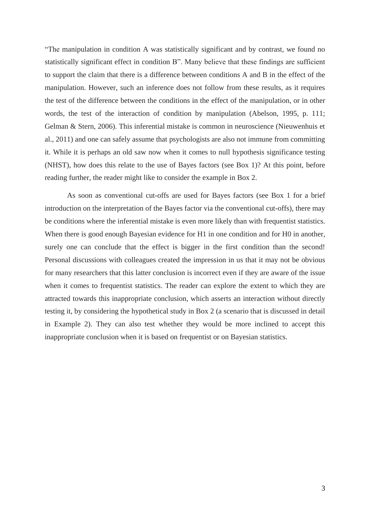"The manipulation in condition A was statistically significant and by contrast, we found no statistically significant effect in condition B". Many believe that these findings are sufficient to support the claim that there is a difference between conditions A and B in the effect of the manipulation. However, such an inference does not follow from these results, as it requires the test of the difference between the conditions in the effect of the manipulation, or in other words, the test of the interaction of condition by manipulation (Abelson, 1995, p. 111; Gelman & Stern, 2006). This inferential mistake is common in neuroscience (Nieuwenhuis et al., 2011) and one can safely assume that psychologists are also not immune from committing it. While it is perhaps an old saw now when it comes to null hypothesis significance testing (NHST), how does this relate to the use of Bayes factors (see Box 1)? At this point, before reading further, the reader might like to consider the example in Box 2.

As soon as conventional cut-offs are used for Bayes factors (see Box 1 for a brief introduction on the interpretation of the Bayes factor via the conventional cut-offs), there may be conditions where the inferential mistake is even more likely than with frequentist statistics. When there is good enough Bayesian evidence for H1 in one condition and for H0 in another, surely one can conclude that the effect is bigger in the first condition than the second! Personal discussions with colleagues created the impression in us that it may not be obvious for many researchers that this latter conclusion is incorrect even if they are aware of the issue when it comes to frequentist statistics. The reader can explore the extent to which they are attracted towards this inappropriate conclusion, which asserts an interaction without directly testing it, by considering the hypothetical study in Box 2 (a scenario that is discussed in detail in Example 2). They can also test whether they would be more inclined to accept this inappropriate conclusion when it is based on frequentist or on Bayesian statistics.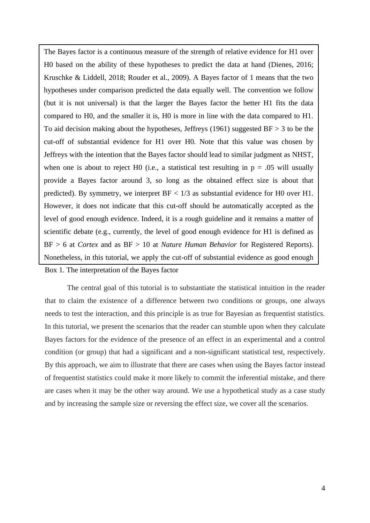The Bayes factor is a continuous measure of the strength of relative evidence for H1 over H0 based on the ability of these hypotheses to predict the data at hand (Dienes, 2016; Kruschke & Liddell, 2018; Rouder et al., 2009). A Bayes factor of 1 means that the two hypotheses under comparison predicted the data equally well. The convention we follow (but it is not universal) is that the larger the Bayes factor the better H1 fits the data compared to H0, and the smaller it is, H0 is more in line with the data compared to H1. To aid decision making about the hypotheses, Jeffreys (1961) suggested  $BF > 3$  to be the cut-off of substantial evidence for H1 over H0. Note that this value was chosen by Jeffreys with the intention that the Bayes factor should lead to similar judgment as NHST, when one is about to reject H0 (i.e., a statistical test resulting in  $p = .05$  will usually provide a Bayes factor around 3, so long as the obtained effect size is about that predicted). By symmetry, we interpret  $BF < 1/3$  as substantial evidence for H0 over H1. However, it does not indicate that this cut-off should be automatically accepted as the level of good enough evidence. Indeed, it is a rough guideline and it remains a matter of scientific debate (e.g., currently, the level of good enough evidence for H1 is defined as BF > 6 at *Cortex* and as BF > 10 at *Nature Human Behavior* for Registered Reports). Nonetheless, in this tutorial, we apply the cut-off of substantial evidence as good enough

#### Box 1. The interpretation of the Bayes factor

The central goal of this tutorial is to substantiate the statistical intuition in the reader that to claim the existence of a difference between two conditions or groups, one always needs to test the interaction, and this principle is as true for Bayesian as frequentist statistics. In this tutorial, we present the scenarios that the reader can stumble upon when they calculate Bayes factors for the evidence of the presence of an effect in an experimental and a control condition (or group) that had a significant and a non-significant statistical test, respectively. By this approach, we aim to illustrate that there are cases when using the Bayes factor instead of frequentist statistics could make it more likely to commit the inferential mistake, and there are cases when it may be the other way around. We use a hypothetical study as a case study and by increasing the sample size or reversing the effect size, we cover all the scenarios.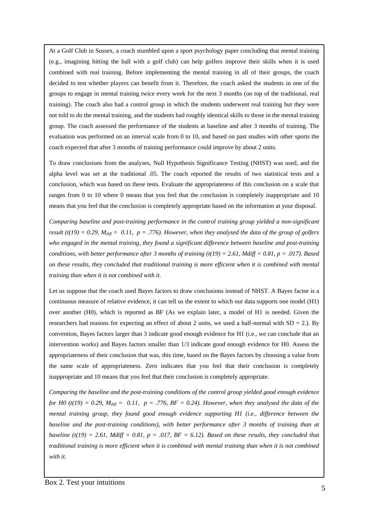At a Golf Club in Sussex, a coach stumbled upon a sport psychology paper concluding that mental training (e.g., imagining hitting the ball with a golf club) can help golfers improve their skills when it is used combined with real training. Before implementing the mental training in all of their groups, the coach decided to test whether players can benefit from it. Therefore, the coach asked the students in one of the groups to engage in mental training twice every week for the next 3 months (on top of the traditional, real training). The coach also had a control group in which the students underwent real training but they were not told to do the mental training, and the students had roughly identical skills to those in the mental training group. The coach assessed the performance of the students at baseline and after 3 months of training. The evaluation was performed on an interval scale from 0 to 10, and based on past studies with other sports the coach expected that after 3 months of training performance could improve by about 2 units.

To draw conclusions from the analyses, Null Hypothesis Significance Testing (NHST) was used, and the alpha level was set at the traditional .05. The coach reported the results of two statistical tests and a conclusion, which was based on these tests. Evaluate the appropriateness of this conclusion on a scale that ranges from 0 to 10 where 0 means that you feel that the conclusion is completely inappropriate and 10 means that you feel that the conclusion is completely appropriate based on the information at your disposal.

*Comparing baseline and post-training performance in the control training group yielded a non-significant result (t(19) = 0.29, M<sub>diff</sub> = 0.11, p = .776). However, when they analysed the data of the group of golfers who engaged in the mental training, they found a significant difference between baseline and post-training conditions, with better performance after 3 months of training (t(19) = 2.61, Mdiff = 0.81, p = .017). Based on these results, they concluded that traditional training is more efficient when it is combined with mental training than when it is not combined with it.*

Let us suppose that the coach used Bayes factors to draw conclusions instead of NHST. A Bayes factor is a continuous measure of relative evidence, it can tell us the extent to which our data supports one model (H1) over another (H0), which is reported as BF (As we explain later, a model of H1 is needed. Given the researchers had reasons for expecting an effect of about 2 units, we used a half-normal with  $SD = 2$ .). By convention, Bayes factors larger than 3 indicate good enough evidence for H1 (i.e., we can conclude that an intervention works) and Bayes factors smaller than 1/3 indicate good enough evidence for H0. Assess the appropriateness of their conclusion that was, this time, based on the Bayes factors by choosing a value from the same scale of appropriateness. Zero indicates that you feel that their conclusion is completely inappropriate and 10 means that you feel that their conclusion is completely appropriate.

*Comparing the baseline and the post-training conditions of the control group yielded good enough evidence for H0* (t(19) = 0.29,  $M_{\text{diff}} = 0.11$ ,  $p = .776$ ,  $BF = 0.24$ ). However, when they analysed the data of the *mental training group, they found good enough evidence supporting H1 (i.e., difference between the baseline and the post-training conditions), with better performance after 3 months of training than at baseline* (t(19) = 2.61, Mdiff = 0.81, p = .017, BF = 6.12). Based on these results, they concluded that *traditional training is more efficient when it is combined with mental training than when it is not combined with it.*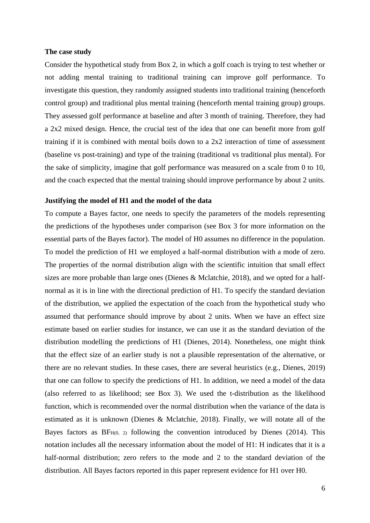#### **The case study**

Consider the hypothetical study from Box 2, in which a golf coach is trying to test whether or not adding mental training to traditional training can improve golf performance. To investigate this question, they randomly assigned students into traditional training (henceforth control group) and traditional plus mental training (henceforth mental training group) groups. They assessed golf performance at baseline and after 3 month of training. Therefore, they had a 2x2 mixed design. Hence, the crucial test of the idea that one can benefit more from golf training if it is combined with mental boils down to a 2x2 interaction of time of assessment (baseline vs post-training) and type of the training (traditional vs traditional plus mental). For the sake of simplicity, imagine that golf performance was measured on a scale from 0 to 10, and the coach expected that the mental training should improve performance by about 2 units.

## **Justifying the model of H1 and the model of the data**

To compute a Bayes factor, one needs to specify the parameters of the models representing the predictions of the hypotheses under comparison (see Box 3 for more information on the essential parts of the Bayes factor). The model of H0 assumes no difference in the population. To model the prediction of H1 we employed a half-normal distribution with a mode of zero. The properties of the normal distribution align with the scientific intuition that small effect sizes are more probable than large ones (Dienes & Mclatchie, 2018), and we opted for a halfnormal as it is in line with the directional prediction of H1. To specify the standard deviation of the distribution, we applied the expectation of the coach from the hypothetical study who assumed that performance should improve by about 2 units. When we have an effect size estimate based on earlier studies for instance, we can use it as the standard deviation of the distribution modelling the predictions of H1 (Dienes, 2014). Nonetheless, one might think that the effect size of an earlier study is not a plausible representation of the alternative, or there are no relevant studies. In these cases, there are several heuristics (e.g., Dienes, 2019) that one can follow to specify the predictions of H1. In addition, we need a model of the data (also referred to as likelihood; see Box 3). We used the t-distribution as the likelihood function, which is recommended over the normal distribution when the variance of the data is estimated as it is unknown (Dienes & Mclatchie, 2018). Finally, we will notate all of the Bayes factors as  $BF<sub>H(0, 2)</sub>$  following the convention introduced by Dienes (2014). This notation includes all the necessary information about the model of H1: H indicates that it is a half-normal distribution; zero refers to the mode and 2 to the standard deviation of the distribution. All Bayes factors reported in this paper represent evidence for H1 over H0.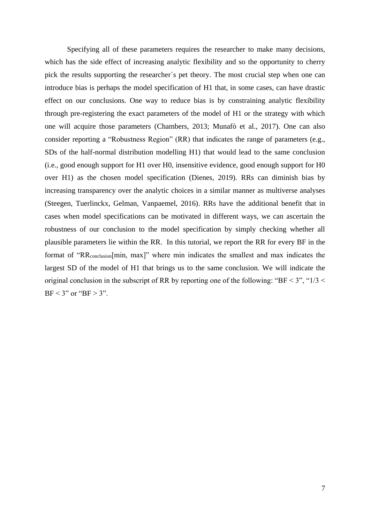Specifying all of these parameters requires the researcher to make many decisions, which has the side effect of increasing analytic flexibility and so the opportunity to cherry pick the results supporting the researcher`s pet theory. The most crucial step when one can introduce bias is perhaps the model specification of H1 that, in some cases, can have drastic effect on our conclusions. One way to reduce bias is by constraining analytic flexibility through pre-registering the exact parameters of the model of H1 or the strategy with which one will acquire those parameters (Chambers, 2013; Munafò et al., 2017). One can also consider reporting a "Robustness Region" (RR) that indicates the range of parameters (e.g., SDs of the half-normal distribution modelling H1) that would lead to the same conclusion (i.e., good enough support for H1 over H0, insensitive evidence, good enough support for H0 over H1) as the chosen model specification (Dienes, 2019). RRs can diminish bias by increasing transparency over the analytic choices in a similar manner as multiverse analyses (Steegen, Tuerlinckx, Gelman, Vanpaemel, 2016). RRs have the additional benefit that in cases when model specifications can be motivated in different ways, we can ascertain the robustness of our conclusion to the model specification by simply checking whether all plausible parameters lie within the RR. In this tutorial, we report the RR for every BF in the format of "RRconclusion[min, max]" where min indicates the smallest and max indicates the largest SD of the model of H1 that brings us to the same conclusion. We will indicate the original conclusion in the subscript of RR by reporting one of the following: "BF < 3", " $1/3$  <  $BF < 3"$  or " $BF > 3"$ .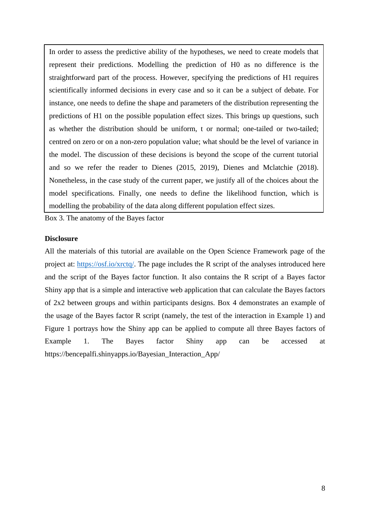In order to assess the predictive ability of the hypotheses, we need to create models that represent their predictions. Modelling the prediction of H0 as no difference is the straightforward part of the process. However, specifying the predictions of H1 requires scientifically informed decisions in every case and so it can be a subject of debate. For instance, one needs to define the shape and parameters of the distribution representing the predictions of H1 on the possible population effect sizes. This brings up questions, such as whether the distribution should be uniform, t or normal; one-tailed or two-tailed; centred on zero or on a non-zero population value; what should be the level of variance in the model. The discussion of these decisions is beyond the scope of the current tutorial and so we refer the reader to Dienes (2015, 2019), Dienes and Mclatchie (2018). Nonetheless, in the case study of the current paper, we justify all of the choices about the model specifications. Finally, one needs to define the likelihood function, which is modelling the probability of the data along different population effect sizes.

Box 3. The anatomy of the Bayes factor

#### **Disclosure**

All the materials of this tutorial are available on the Open Science Framework page of the project at: [https://osf.io/xrctq/.](https://osf.io/xrctq/) The page includes the R script of the analyses introduced here and the script of the Bayes factor function. It also contains the R script of a Bayes factor Shiny app that is a simple and interactive web application that can calculate the Bayes factors of 2x2 between groups and within participants designs. Box 4 demonstrates an example of the usage of the Bayes factor R script (namely, the test of the interaction in Example 1) and Figure 1 portrays how the Shiny app can be applied to compute all three Bayes factors of Example 1. The Bayes factor Shiny app can be accessed at https://bencepalfi.shinyapps.io/Bayesian\_Interaction\_App/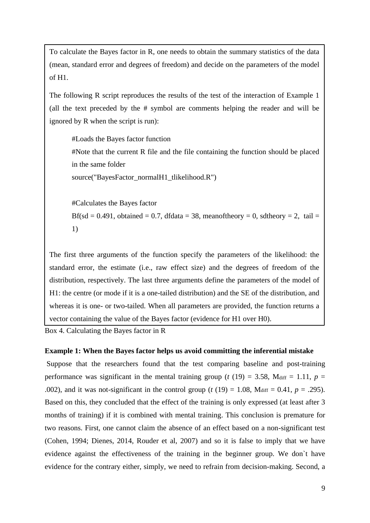To calculate the Bayes factor in R, one needs to obtain the summary statistics of the data (mean, standard error and degrees of freedom) and decide on the parameters of the model of H1.

The following R script reproduces the results of the test of the interaction of Example 1 (all the text preceded by the # symbol are comments helping the reader and will be ignored by R when the script is run):

#Loads the Bayes factor function #Note that the current R file and the file containing the function should be placed in the same folder source("BayesFactor\_normalH1\_tlikelihood.R")

#Calculates the Bayes factor Bf(sd = 0.491, obtained = 0.7, dfdata = 38, meanoftheory = 0, sdtheory = 2, tail = 1)

The first three arguments of the function specify the parameters of the likelihood: the standard error, the estimate (i.e., raw effect size) and the degrees of freedom of the distribution, respectively. The last three arguments define the parameters of the model of H1: the centre (or mode if it is a one-tailed distribution) and the SE of the distribution, and whereas it is one- or two-tailed. When all parameters are provided, the function returns a vector containing the value of the Bayes factor (evidence for H1 over H0).

Box 4. Calculating the Bayes factor in R

# **Example 1: When the Bayes factor helps us avoid committing the inferential mistake**

Suppose that the researchers found that the test comparing baseline and post-training performance was significant in the mental training group ( $t(19) = 3.58$ , M<sub>diff</sub> = 1.11,  $p =$ .002), and it was not-significant in the control group ( $t(19) = 1.08$ , Mdiff = 0.41,  $p = .295$ ). Based on this, they concluded that the effect of the training is only expressed (at least after 3 months of training) if it is combined with mental training. This conclusion is premature for two reasons. First, one cannot claim the absence of an effect based on a non-significant test (Cohen, 1994; Dienes, 2014, Rouder et al, 2007) and so it is false to imply that we have evidence against the effectiveness of the training in the beginner group. We don`t have evidence for the contrary either, simply, we need to refrain from decision-making. Second, a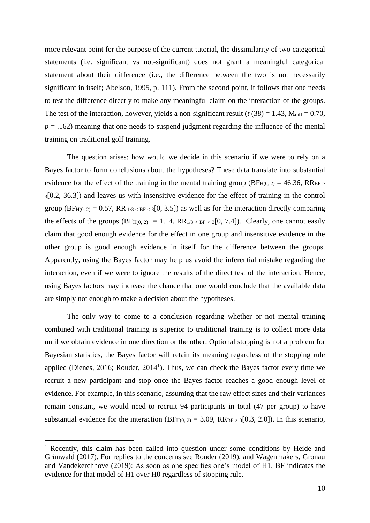more relevant point for the purpose of the current tutorial, the dissimilarity of two categorical statements (i.e. significant vs not-significant) does not grant a meaningful categorical statement about their difference (i.e., the difference between the two is not necessarily significant in itself; Abelson, 1995, p. 111). From the second point, it follows that one needs to test the difference directly to make any meaningful claim on the interaction of the groups. The test of the interaction, however, yields a non-significant result ( $t$  (38) = 1.43, Mdiff = 0.70,  $p = .162$ ) meaning that one needs to suspend judgment regarding the influence of the mental training on traditional golf training.

The question arises: how would we decide in this scenario if we were to rely on a Bayes factor to form conclusions about the hypotheses? These data translate into substantial evidence for the effect of the training in the mental training group (BF $_{H(0, 2)} = 46.36$ , RR<sub>BF</sub> $>$ <sup>3</sup>[0.2, 36.3]) and leaves us with insensitive evidence for the effect of training in the control group (BF<sub>H(0, 2)</sub> = 0.57, RR  $_{1/3$  <  $_{8}$ F < 3[0, 3.5]) as well as for the interaction directly comparing the effects of the groups  $(BF_{H(0, 2)} = 1.14$ .  $RR_{1/3} < BF < 3[0, 7.4]$ . Clearly, one cannot easily claim that good enough evidence for the effect in one group and insensitive evidence in the other group is good enough evidence in itself for the difference between the groups. Apparently, using the Bayes factor may help us avoid the inferential mistake regarding the interaction, even if we were to ignore the results of the direct test of the interaction. Hence, using Bayes factors may increase the chance that one would conclude that the available data are simply not enough to make a decision about the hypotheses.

The only way to come to a conclusion regarding whether or not mental training combined with traditional training is superior to traditional training is to collect more data until we obtain evidence in one direction or the other. Optional stopping is not a problem for Bayesian statistics, the Bayes factor will retain its meaning regardless of the stopping rule applied (Dienes, 2016; Rouder,  $2014<sup>1</sup>$ ). Thus, we can check the Bayes factor every time we recruit a new participant and stop once the Bayes factor reaches a good enough level of evidence. For example, in this scenario, assuming that the raw effect sizes and their variances remain constant, we would need to recruit 94 participants in total (47 per group) to have substantial evidence for the interaction (BF $_{H(0, 2)} = 3.09$ , RR<sub>BF > 3</sub>[0.3, 2.0]). In this scenario,

1

<sup>&</sup>lt;sup>1</sup> Recently, this claim has been called into question under some conditions by Heide and Grünwald (2017). For replies to the concerns see Rouder (2019), and Wagenmakers, Gronau and Vandekerchhove (2019): As soon as one specifies one's model of H1, BF indicates the evidence for that model of H1 over H0 regardless of stopping rule.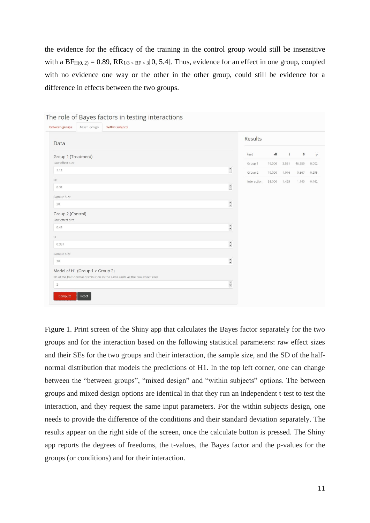the evidence for the efficacy of the training in the control group would still be insensitive with a BF<sub>H(0, 2)</sub> = 0.89, RR<sub>1/3 < BF < 3</sub>[0, 5.4]. Thus, evidence for an effect in one group, coupled with no evidence one way or the other in the other group, could still be evidence for a difference in effects between the two groups.

| Mixed design<br>Within subjects<br>Between groups                            |                           |             |        |       |        |       |
|------------------------------------------------------------------------------|---------------------------|-------------|--------|-------|--------|-------|
| Data                                                                         |                           | Results     |        |       |        |       |
| Group 1 (Treatment)                                                          |                           | test        | df     | t     | $\,$ B | p     |
| Raw effect size                                                              |                           | Group 1     | 19.000 | 3.581 | 46.359 | 0.002 |
| 1.11                                                                         | $\ddot{\cdot}$            | Group 2     | 19,000 | 1.076 | 0.567  | 0.295 |
| SE                                                                           |                           | Interaction | 38.000 | 1.425 | 1.140  | 0.162 |
| 0.31                                                                         | $\frac{\bullet}{\bullet}$ |             |        |       |        |       |
| Sample Size                                                                  |                           |             |        |       |        |       |
| 20                                                                           | $\frac{1}{\bullet}$       |             |        |       |        |       |
| Group 2 (Control)<br>Raw effect size                                         |                           |             |        |       |        |       |
| 0.41                                                                         | $\frac{\bullet}{\bullet}$ |             |        |       |        |       |
| SE                                                                           |                           |             |        |       |        |       |
| 0.381                                                                        | $\frac{1}{\sqrt{2}}$      |             |        |       |        |       |
| Sample Size                                                                  |                           |             |        |       |        |       |
| 20                                                                           | $\overline{\phantom{a}}$  |             |        |       |        |       |
| Model of H1 (Group 1 > Group 2)                                              |                           |             |        |       |        |       |
| SD of the half-normal distribution in the same units as the raw effect sizes |                           |             |        |       |        |       |
| $\overline{2}$                                                               | $\ddot{\cdot}$            |             |        |       |        |       |
| Compute<br>Reset                                                             |                           |             |        |       |        |       |

The rele of Paves factors in testing interactions

Figure 1. Print screen of the Shiny app that calculates the Bayes factor separately for the two groups and for the interaction based on the following statistical parameters: raw effect sizes and their SEs for the two groups and their interaction, the sample size, and the SD of the halfnormal distribution that models the predictions of H1. In the top left corner, one can change between the "between groups", "mixed design" and "within subjects" options. The between groups and mixed design options are identical in that they run an independent t-test to test the interaction, and they request the same input parameters. For the within subjects design, one needs to provide the difference of the conditions and their standard deviation separately. The results appear on the right side of the screen, once the calculate button is pressed. The Shiny app reports the degrees of freedoms, the t-values, the Bayes factor and the p-values for the groups (or conditions) and for their interaction.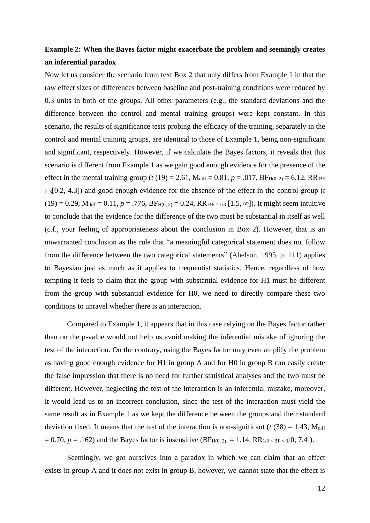# **Example 2: When the Bayes factor might exacerbate the problem and seemingly creates an inferential paradox**

Now let us consider the scenario from text Box 2 that only differs from Example 1 in that the raw effect sizes of differences between baseline and post-training conditions were reduced by 0.3 units in both of the groups. All other parameters (e.g., the standard deviations and the difference between the control and mental training groups) were kept constant. In this scenario, the results of significance tests probing the efficacy of the training, separately in the control and mental training groups, are identical to those of Example 1, being non-significant and significant, respectively. However, if we calculate the Bayes factors, it reveals that this scenario is different from Example 1 as we gain good enough evidence for the presence of the effect in the mental training group (*t* (19) = 2.61, M<sub>diff</sub> = 0.81, *p* = .017, BF<sub>H(0, 2)</sub> = 6.12, RR BF <sup>&</sup>gt; <sup>3</sup>[0.2, 4.3]) and good enough evidence for the absence of the effect in the control group (*t*  $(19) = 0.29$ , M<sub>diff</sub> = 0.11,  $p = .776$ ,  $BF_{H(0, 2)} = 0.24$ ,  $RR_{BF < 1/3}$  [1.5,  $\infty$ ]). It might seem intuitive to conclude that the evidence for the difference of the two must be substantial in itself as well (c.f., your feeling of appropriateness about the conclusion in Box 2). However, that is an unwarranted conclusion as the rule that "a meaningful categorical statement does not follow from the difference between the two categorical statements" (Abelson, 1995, p. 111) applies to Bayesian just as much as it applies to frequentist statistics. Hence, regardless of how tempting it feels to claim that the group with substantial evidence for H1 must be different from the group with substantial evidence for H0, we need to directly compare these two conditions to unravel whether there is an interaction.

Compared to Example 1, it appears that in this case relying on the Bayes factor rather than on the p-value would not help us avoid making the inferential mistake of ignoring the test of the interaction. On the contrary, using the Bayes factor may even amplify the problem as having good enough evidence for H1 in group A and for H0 in group B can easily create the false impression that there is no need for further statistical analyses and the two must be different. However, neglecting the test of the interaction is an inferential mistake, moreover, it would lead us to an incorrect conclusion, since the test of the interaction must yield the same result as in Example 1 as we kept the difference between the groups and their standard deviation fixed. It means that the test of the interaction is non-significant ( $t$  (38) = 1.43, M<sub>diff</sub>  $= 0.70, p = .162$ ) and the Bayes factor is insensitive (BF<sub>H(0, 2)</sub> = 1.14. RR<sub>1/3 < BF < 3</sub>[0, 7.4]).

Seemingly, we got ourselves into a paradox in which we can claim that an effect exists in group A and it does not exist in group B, however, we cannot state that the effect is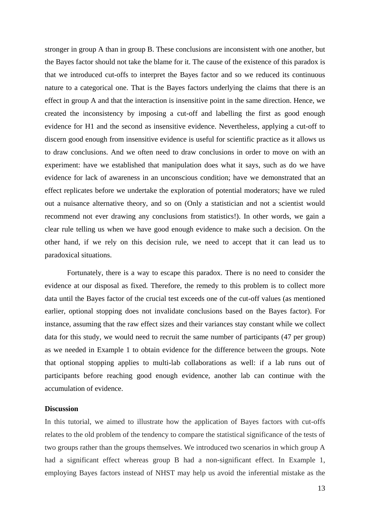stronger in group A than in group B. These conclusions are inconsistent with one another, but the Bayes factor should not take the blame for it. The cause of the existence of this paradox is that we introduced cut-offs to interpret the Bayes factor and so we reduced its continuous nature to a categorical one. That is the Bayes factors underlying the claims that there is an effect in group A and that the interaction is insensitive point in the same direction. Hence, we created the inconsistency by imposing a cut-off and labelling the first as good enough evidence for H1 and the second as insensitive evidence. Nevertheless, applying a cut-off to discern good enough from insensitive evidence is useful for scientific practice as it allows us to draw conclusions. And we often need to draw conclusions in order to move on with an experiment: have we established that manipulation does what it says, such as do we have evidence for lack of awareness in an unconscious condition; have we demonstrated that an effect replicates before we undertake the exploration of potential moderators; have we ruled out a nuisance alternative theory, and so on (Only a statistician and not a scientist would recommend not ever drawing any conclusions from statistics!). In other words, we gain a clear rule telling us when we have good enough evidence to make such a decision. On the other hand, if we rely on this decision rule, we need to accept that it can lead us to paradoxical situations.

Fortunately, there is a way to escape this paradox. There is no need to consider the evidence at our disposal as fixed. Therefore, the remedy to this problem is to collect more data until the Bayes factor of the crucial test exceeds one of the cut-off values (as mentioned earlier, optional stopping does not invalidate conclusions based on the Bayes factor). For instance, assuming that the raw effect sizes and their variances stay constant while we collect data for this study, we would need to recruit the same number of participants (47 per group) as we needed in Example 1 to obtain evidence for the difference between the groups. Note that optional stopping applies to multi-lab collaborations as well: if a lab runs out of participants before reaching good enough evidence, another lab can continue with the accumulation of evidence.

#### **Discussion**

In this tutorial, we aimed to illustrate how the application of Bayes factors with cut-offs relates to the old problem of the tendency to compare the statistical significance of the tests of two groups rather than the groups themselves. We introduced two scenarios in which group A had a significant effect whereas group B had a non-significant effect. In Example 1, employing Bayes factors instead of NHST may help us avoid the inferential mistake as the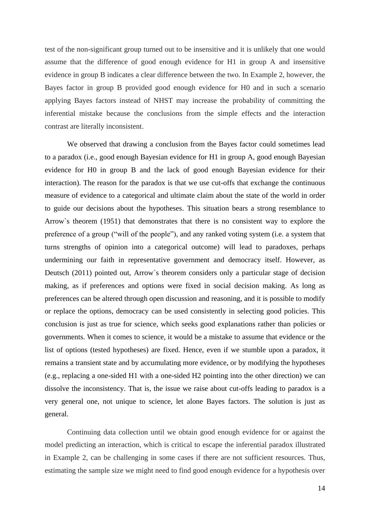test of the non-significant group turned out to be insensitive and it is unlikely that one would assume that the difference of good enough evidence for H1 in group A and insensitive evidence in group B indicates a clear difference between the two. In Example 2, however, the Bayes factor in group B provided good enough evidence for H0 and in such a scenario applying Bayes factors instead of NHST may increase the probability of committing the inferential mistake because the conclusions from the simple effects and the interaction contrast are literally inconsistent.

We observed that drawing a conclusion from the Bayes factor could sometimes lead to a paradox (i.e., good enough Bayesian evidence for H1 in group A, good enough Bayesian evidence for H0 in group B and the lack of good enough Bayesian evidence for their interaction). The reason for the paradox is that we use cut-offs that exchange the continuous measure of evidence to a categorical and ultimate claim about the state of the world in order to guide our decisions about the hypotheses. This situation bears a strong resemblance to Arrow`s theorem (1951) that demonstrates that there is no consistent way to explore the preference of a group ("will of the people"), and any ranked voting system (i.e. a system that turns strengths of opinion into a categorical outcome) will lead to paradoxes, perhaps undermining our faith in representative government and democracy itself. However, as Deutsch (2011) pointed out, Arrow`s theorem considers only a particular stage of decision making, as if preferences and options were fixed in social decision making. As long as preferences can be altered through open discussion and reasoning, and it is possible to modify or replace the options, democracy can be used consistently in selecting good policies. This conclusion is just as true for science, which seeks good explanations rather than policies or governments. When it comes to science, it would be a mistake to assume that evidence or the list of options (tested hypotheses) are fixed. Hence, even if we stumble upon a paradox, it remains a transient state and by accumulating more evidence, or by modifying the hypotheses (e.g., replacing a one-sided H1 with a one-sided H2 pointing into the other direction) we can dissolve the inconsistency. That is, the issue we raise about cut-offs leading to paradox is a very general one, not unique to science, let alone Bayes factors. The solution is just as general.

Continuing data collection until we obtain good enough evidence for or against the model predicting an interaction, which is critical to escape the inferential paradox illustrated in Example 2, can be challenging in some cases if there are not sufficient resources. Thus, estimating the sample size we might need to find good enough evidence for a hypothesis over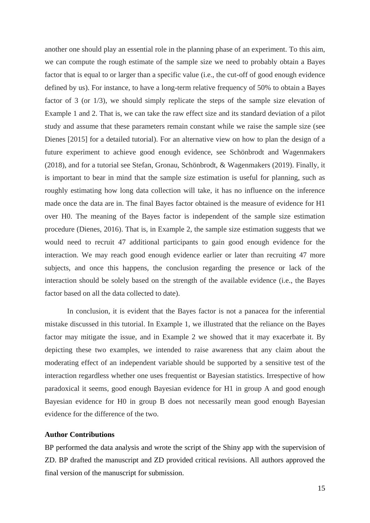another one should play an essential role in the planning phase of an experiment. To this aim, we can compute the rough estimate of the sample size we need to probably obtain a Bayes factor that is equal to or larger than a specific value (i.e., the cut-off of good enough evidence defined by us). For instance, to have a long-term relative frequency of 50% to obtain a Bayes factor of 3 (or 1/3), we should simply replicate the steps of the sample size elevation of Example 1 and 2. That is, we can take the raw effect size and its standard deviation of a pilot study and assume that these parameters remain constant while we raise the sample size (see Dienes [2015] for a detailed tutorial). For an alternative view on how to plan the design of a future experiment to achieve good enough evidence, see Schönbrodt and Wagenmakers (2018), and for a tutorial see Stefan, Gronau, Schönbrodt, & Wagenmakers (2019). Finally, it is important to bear in mind that the sample size estimation is useful for planning, such as roughly estimating how long data collection will take, it has no influence on the inference made once the data are in. The final Bayes factor obtained is the measure of evidence for H1 over H0. The meaning of the Bayes factor is independent of the sample size estimation procedure (Dienes, 2016). That is, in Example 2, the sample size estimation suggests that we would need to recruit 47 additional participants to gain good enough evidence for the interaction. We may reach good enough evidence earlier or later than recruiting 47 more subjects, and once this happens, the conclusion regarding the presence or lack of the interaction should be solely based on the strength of the available evidence (i.e., the Bayes factor based on all the data collected to date).

In conclusion, it is evident that the Bayes factor is not a panacea for the inferential mistake discussed in this tutorial. In Example 1, we illustrated that the reliance on the Bayes factor may mitigate the issue, and in Example 2 we showed that it may exacerbate it. By depicting these two examples, we intended to raise awareness that any claim about the moderating effect of an independent variable should be supported by a sensitive test of the interaction regardless whether one uses frequentist or Bayesian statistics. Irrespective of how paradoxical it seems, good enough Bayesian evidence for H1 in group A and good enough Bayesian evidence for H0 in group B does not necessarily mean good enough Bayesian evidence for the difference of the two.

### **Author Contributions**

BP performed the data analysis and wrote the script of the Shiny app with the supervision of ZD. BP drafted the manuscript and ZD provided critical revisions. All authors approved the final version of the manuscript for submission.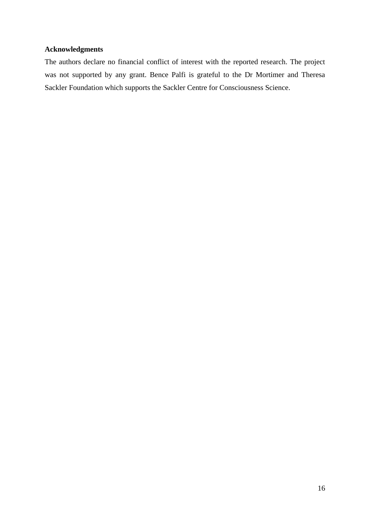# **Acknowledgments**

The authors declare no financial conflict of interest with the reported research. The project was not supported by any grant. Bence Palfi is grateful to the Dr Mortimer and Theresa Sackler Foundation which supports the Sackler Centre for Consciousness Science.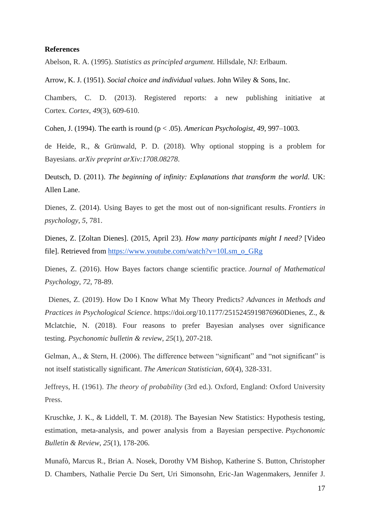#### **References**

Abelson, R. A. (1995). *Statistics as principled argument.* Hillsdale, NJ: Erlbaum.

Arrow, K. J. (1951). *Social choice and individual values*. John Wiley & Sons, Inc.

Chambers, C. D. (2013). Registered reports: a new publishing initiative at Cortex. *Cortex*, *49*(3), 609-610.

Cohen, J. (1994). The earth is round (p < .05). *American Psychologist*, *49*, 997–1003.

de Heide, R., & Grünwald, P. D. (2018). Why optional stopping is a problem for Bayesians. *arXiv preprint arXiv:1708.08278*.

Deutsch, D. (2011). *The beginning of infinity: Explanations that transform the world*. UK: Allen Lane.

Dienes, Z. (2014). Using Bayes to get the most out of non-significant results. *Frontiers in psychology*, *5*, 781.

Dienes, Z. [Zoltan Dienes]. (2015, April 23). *How many participants might I need?* [Video file]. Retrieved from [https://www.youtube.com/watch?v=10Lsm\\_o\\_GRg](https://www.youtube.com/watch?v=10Lsm_o_GRg)

Dienes, Z. (2016). How Bayes factors change scientific practice. *Journal of Mathematical Psychology*, *72*, 78-89.

 Dienes, Z. (2019). How Do I Know What My Theory Predicts? *Advances in Methods and Practices in Psychological Science*. https://doi.org/10.1177/2515245919876960Dienes, Z., & Mclatchie, N. (2018). Four reasons to prefer Bayesian analyses over significance testing. *Psychonomic bulletin & review*, *25*(1), 207-218.

Gelman, A., & Stern, H. (2006). The difference between "significant" and "not significant" is not itself statistically significant. *The American Statistician*, *60*(4), 328-331.

Jeffreys, H. (1961). *The theory of probability* (3rd ed.). Oxford, England: Oxford University Press.

Kruschke, J. K., & Liddell, T. M. (2018). The Bayesian New Statistics: Hypothesis testing, estimation, meta-analysis, and power analysis from a Bayesian perspective. *Psychonomic Bulletin & Review*, *25*(1), 178-206.

Munafò, Marcus R., Brian A. Nosek, Dorothy VM Bishop, Katherine S. Button, Christopher D. Chambers, Nathalie Percie Du Sert, Uri Simonsohn, Eric-Jan Wagenmakers, Jennifer J.

17